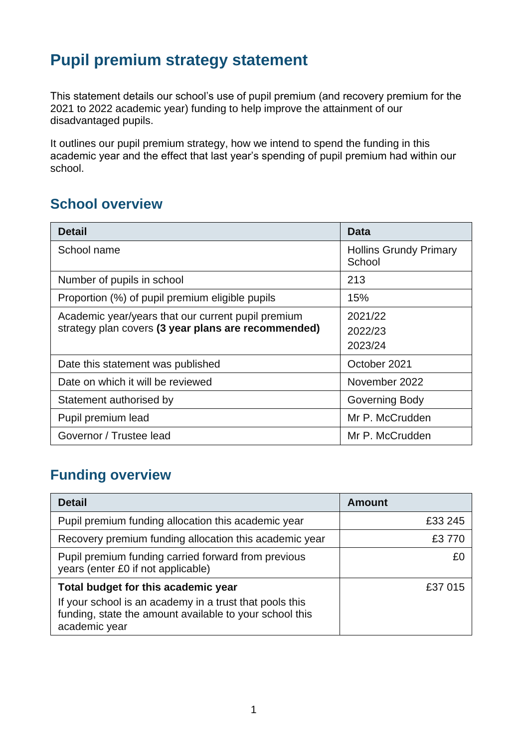# **Pupil premium strategy statement**

This statement details our school's use of pupil premium (and recovery premium for the 2021 to 2022 academic year) funding to help improve the attainment of our disadvantaged pupils.

It outlines our pupil premium strategy, how we intend to spend the funding in this academic year and the effect that last year's spending of pupil premium had within our school.

### **School overview**

| <b>Detail</b>                                       | Data                                    |
|-----------------------------------------------------|-----------------------------------------|
| School name                                         | <b>Hollins Grundy Primary</b><br>School |
| Number of pupils in school                          | 213                                     |
| Proportion (%) of pupil premium eligible pupils     | 15%                                     |
| Academic year/years that our current pupil premium  | 2021/22                                 |
| strategy plan covers (3 year plans are recommended) | 2022/23                                 |
|                                                     | 2023/24                                 |
| Date this statement was published                   | October 2021                            |
| Date on which it will be reviewed                   | November 2022                           |
| Statement authorised by                             | Governing Body                          |
| Pupil premium lead                                  | Mr P. McCrudden                         |
| Governor / Trustee lead                             | Mr P. McCrudden                         |

## **Funding overview**

| <b>Detail</b>                                                                                                                                                              | <b>Amount</b> |
|----------------------------------------------------------------------------------------------------------------------------------------------------------------------------|---------------|
| Pupil premium funding allocation this academic year                                                                                                                        | £33 245       |
| Recovery premium funding allocation this academic year                                                                                                                     | £3 770        |
| Pupil premium funding carried forward from previous<br>years (enter £0 if not applicable)                                                                                  | £O            |
| Total budget for this academic year<br>If your school is an academy in a trust that pools this<br>funding, state the amount available to your school this<br>academic year | £37 015       |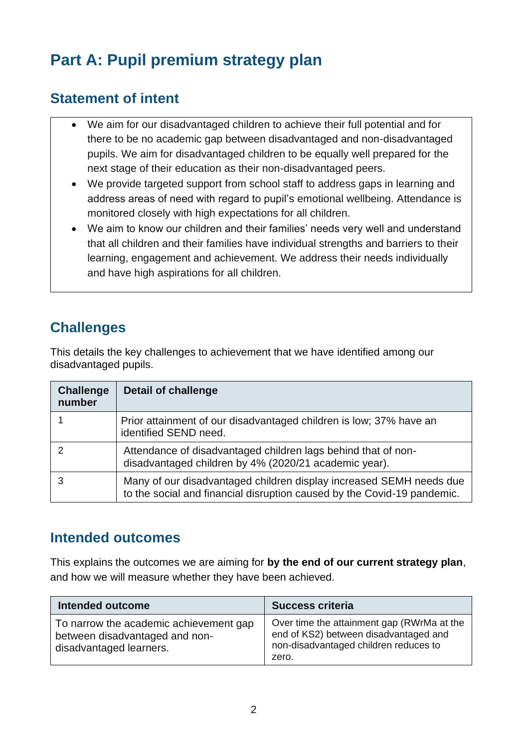# **Part A: Pupil premium strategy plan**

## **Statement of intent**

- We aim for our disadvantaged children to achieve their full potential and for there to be no academic gap between disadvantaged and non-disadvantaged pupils. We aim for disadvantaged children to be equally well prepared for the next stage of their education as their non-disadvantaged peers.
- We provide targeted support from school staff to address gaps in learning and address areas of need with regard to pupil's emotional wellbeing. Attendance is monitored closely with high expectations for all children.
- We aim to know our children and their families' needs very well and understand that all children and their families have individual strengths and barriers to their learning, engagement and achievement. We address their needs individually and have high aspirations for all children.

## **Challenges**

This details the key challenges to achievement that we have identified among our disadvantaged pupils.

| <b>Challenge</b><br>number | <b>Detail of challenge</b>                                                                                                                     |
|----------------------------|------------------------------------------------------------------------------------------------------------------------------------------------|
|                            | Prior attainment of our disadvantaged children is low; 37% have an<br>identified SEND need.                                                    |
|                            | Attendance of disadvantaged children lags behind that of non-<br>disadvantaged children by 4% (2020/21 academic year).                         |
|                            | Many of our disadvantaged children display increased SEMH needs due<br>to the social and financial disruption caused by the Covid-19 pandemic. |

### **Intended outcomes**

This explains the outcomes we are aiming for **by the end of our current strategy plan**, and how we will measure whether they have been achieved.

| <b>Intended outcome</b>                                                                             | <b>Success criteria</b>                                                                                                               |
|-----------------------------------------------------------------------------------------------------|---------------------------------------------------------------------------------------------------------------------------------------|
| To narrow the academic achievement gap<br>between disadvantaged and non-<br>disadvantaged learners. | Over time the attainment gap (RWrMa at the<br>end of KS2) between disadvantaged and<br>non-disadvantaged children reduces to<br>zero. |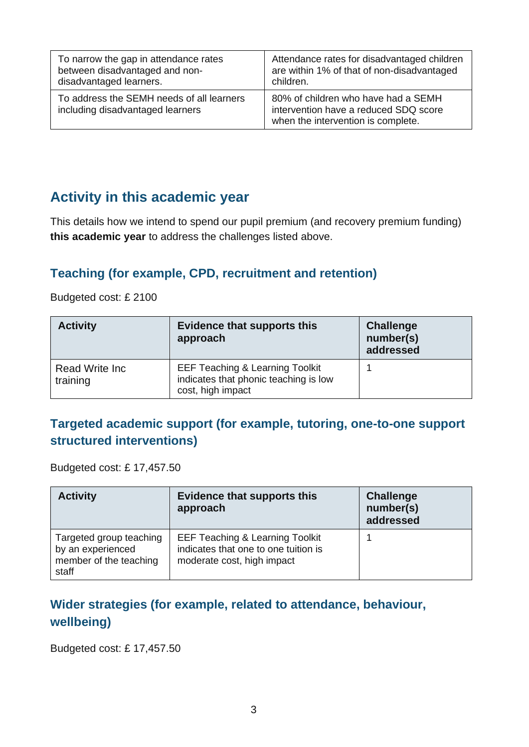| To narrow the gap in attendance rates                                         | Attendance rates for disadvantaged children                                                                        |
|-------------------------------------------------------------------------------|--------------------------------------------------------------------------------------------------------------------|
| between disadvantaged and non-                                                | are within 1% of that of non-disadvantaged                                                                         |
| disadvantaged learners.                                                       | children.                                                                                                          |
| To address the SEMH needs of all learners<br>including disadvantaged learners | 80% of children who have had a SEMH<br>intervention have a reduced SDQ score<br>when the intervention is complete. |

## **Activity in this academic year**

This details how we intend to spend our pupil premium (and recovery premium funding) **this academic year** to address the challenges listed above.

#### **Teaching (for example, CPD, recruitment and retention)**

Budgeted cost: £ 2100

| <b>Activity</b>            | <b>Evidence that supports this</b><br>approach                                                           | <b>Challenge</b><br>number(s)<br>addressed |
|----------------------------|----------------------------------------------------------------------------------------------------------|--------------------------------------------|
| Read Write Inc<br>training | <b>EEF Teaching &amp; Learning Toolkit</b><br>indicates that phonic teaching is low<br>cost, high impact |                                            |

#### **Targeted academic support (for example, tutoring, one-to-one support structured interventions)**

Budgeted cost: £ 17,457.50

| <b>Activity</b>                                                                 | <b>Evidence that supports this</b><br>approach                                                                   | <b>Challenge</b><br>number(s)<br>addressed |
|---------------------------------------------------------------------------------|------------------------------------------------------------------------------------------------------------------|--------------------------------------------|
| Targeted group teaching<br>by an experienced<br>member of the teaching<br>staff | <b>EEF Teaching &amp; Learning Toolkit</b><br>indicates that one to one tuition is<br>moderate cost, high impact |                                            |

#### **Wider strategies (for example, related to attendance, behaviour, wellbeing)**

Budgeted cost: £ 17,457.50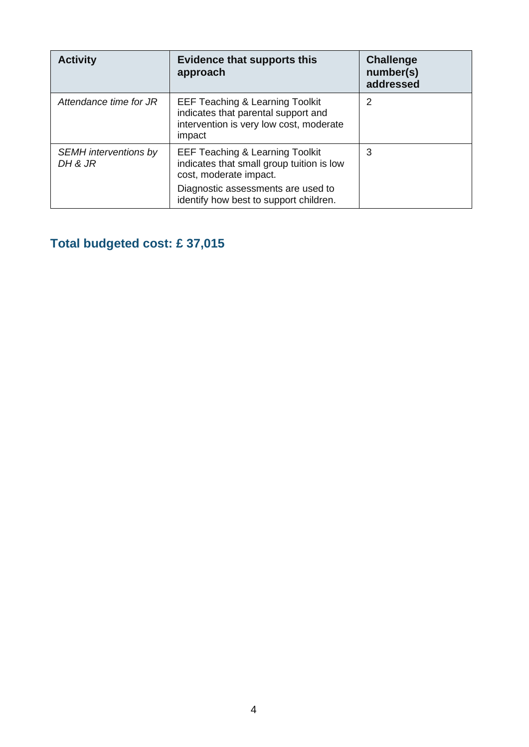| <b>Activity</b>                         | <b>Evidence that supports this</b><br>approach                                                                                                                                                    | <b>Challenge</b><br>number(s)<br>addressed |
|-----------------------------------------|---------------------------------------------------------------------------------------------------------------------------------------------------------------------------------------------------|--------------------------------------------|
| Attendance time for JR                  | <b>EEF Teaching &amp; Learning Toolkit</b><br>indicates that parental support and<br>intervention is very low cost, moderate<br>impact                                                            | 2                                          |
| <b>SEMH</b> interventions by<br>DH & JR | <b>EEF Teaching &amp; Learning Toolkit</b><br>indicates that small group tuition is low<br>cost, moderate impact.<br>Diagnostic assessments are used to<br>identify how best to support children. | 3                                          |

# **Total budgeted cost: £ 37,015**